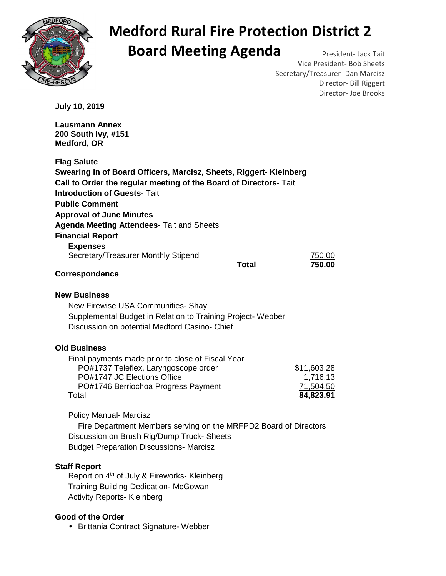

## **Medford Rural Fire Protection District 2 Board Meeting Agenda** President- Jack Tait

Vice President- Bob Sheets Secretary/Treasurer- Dan Marcisz Director- Bill Riggert Director- Joe Brooks

**July 10, 2019** 

**Lausmann Annex 200 South Ivy, #151 Medford, OR Flag Salute Swearing in of Board Officers, Marcisz, Sheets, Riggert- Kleinberg Call to Order the regular meeting of the Board of Directors-** Tait **Introduction of Guests-** Tait **Public Comment Approval of June Minutes Agenda Meeting Attendees-** Tait and Sheets **Financial Report Expenses**  Secretary/Treasurer Monthly Stipend 750.00  **Total 750.00 Correspondence New Business**  New Firewise USA Communities- Shay Supplemental Budget in Relation to Training Project- Webber

#### **Old Business**

| Final payments made prior to close of Fiscal Year |             |
|---------------------------------------------------|-------------|
| PO#1737 Teleflex, Laryngoscope order              | \$11,603.28 |
| PO#1747 JC Elections Office                       | 1,716.13    |
| PO#1746 Berriochoa Progress Payment               | 71,504.50   |
| Total                                             | 84,823.91   |

Policy Manual- Marcisz

 Fire Department Members serving on the MRFPD2 Board of Directors Discussion on Brush Rig/Dump Truck- Sheets Budget Preparation Discussions- Marcisz

#### **Staff Report**

Report on 4<sup>th</sup> of July & Fireworks- Kleinberg Training Building Dedication- McGowan Activity Reports- Kleinberg

Discussion on potential Medford Casino- Chief

#### **Good of the Order**

• Brittania Contract Signature- Webber